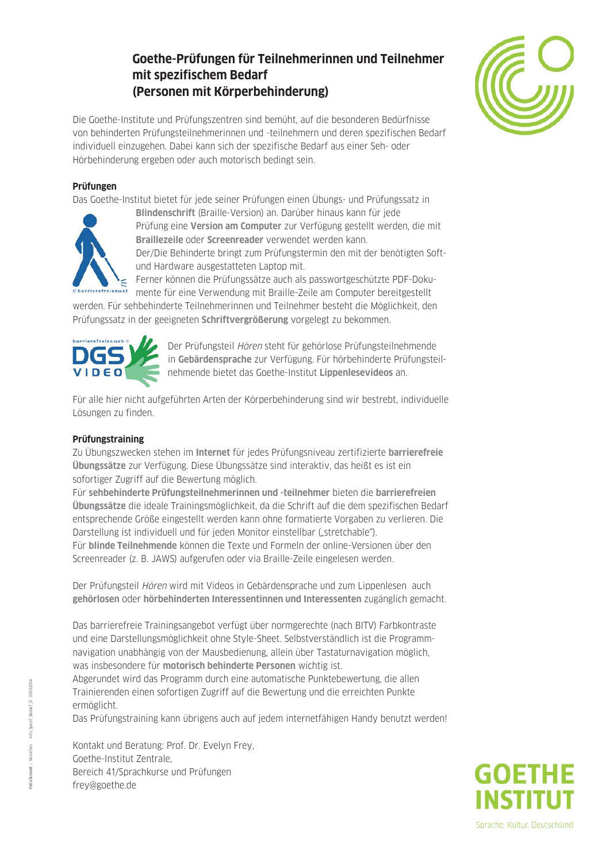# **Goethe-Prüfungen für Teilnehmerinnen und Teilnehmer mit spezifischem Bedarf (Personen mit Körperbehinderung)**



Die Goethe-Institute und Prüfungszentren sind bemüht, auf die besonderen Bedürfnisse von behinderten Prüfungsteilnehmerinnen und -teilnehmern und deren spezifischen Bedarf individuell einzugehen. Dabei kann sich der spezifische Bedarf aus einer Seh- oder Hörbehinderung ergeben oder auch motorisch bedingt sein.

#### **Prüfungen**

Das Goethe-Institut bietet für jede seiner Prüfungen einen Übungs- und Prüfungssatz in



**Blindenschrift** (Braille-Version) an. Darüber hinaus kann für jede Prüfung eine **Version am Computer** zur Verfügung gestellt werden, die mit **Braillezeile** oder **Screenreader** verwendet werden kann. Der/Die Behinderte bringt zum Prüfungstermin den mit der benötigten Softund Hardware ausgestatteten Laptop mit.

Ferner können die Prüfungssätze auch als passwortgeschützte PDF-Dokumente für eine Verwendung mit Braille-Zeile am Computer bereitgestellt

werden. Für sehbehinderte Teilnehmerinnen und Teilnehmer besteht die Möglichkeit, den Prüfungssatz in der geeigneten **Schriftvergrößerung** vorgelegt zu bekommen.



Der Prüfungsteil Hören steht für gehörlose Prüfungsteilnehmende in **Gebärdensprache** zur Verfügung. Für hörbehinderte Prüfungsteilnehmende bietet das Goethe-Institut **Lippenlesevideos** an.

Für alle hier nicht aufgeführten Arten der Körperbehinderung sind wir bestrebt, individuelle Lösungen zu finden.

### **Prüfungstraining**

Zu Übungszwecken stehen im **Internet** für jedes Prüfungsniveau zertifizierte **barrierefreie Übungssätze** zur Verfügung. Diese Übungssätze sind interaktiv, das heißt es ist ein sofortiger Zugriff auf die Bewertung möglich.

Für **sehbehinderte Prüfungsteilnehmerinnen und -teilnehmer** bieten die **barrierefreien Übungssätze** die ideale Trainingsmöglichkeit, da die Schrift auf die dem spezifischen Bedarf entsprechende Größe eingestellt werden kann ohne formatierte Vorgaben zu verlieren. Die Darstellung ist individuell und für jeden Monitor einstellbar ("stretchable").

Für **blinde Teilnehmende** können die Texte und Formeln der online-Versionen über den Screenreader (z. B. JAWS) aufgerufen oder via Braille-Zeile eingelesen werden.

Der Prüfungsteil Hören wird mit Videos in Gebärdensprache und zum Lippenlesen auch **gehörlosen** oder **hörbehinderten Interessentinnen und Interessenten** zugänglich gemacht.

Das barrierefreie Trainingsangebot verfügt über normgerechte (nach BITV) Farb kontraste und eine Darstellungsmöglichkeit ohne Style-Sheet. Selbstverständlich ist die Programm navigation unabhängig von der Mausbedienung, allein über Tastaturnavigation möglich, was insbesondere für **motorisch behinderte Personen** wichtig ist.

Abgerundet wird das Programm durch eine automatische Punktebewertung, die allen Trainierenden einen sofortigen Zugriff auf die Bewertung und die erreichten Punkte ermöglicht.

Das Prüfungstraining kann übrigens auch auf jedem internetfähigen Handy benutzt werden!

Kontakt und Beratung: Prof. Dr. Evelyn Frey, Goethe-Institut Zentrale, Bereich 41/Sprachkurse und Prüfungen frey@goethe.de